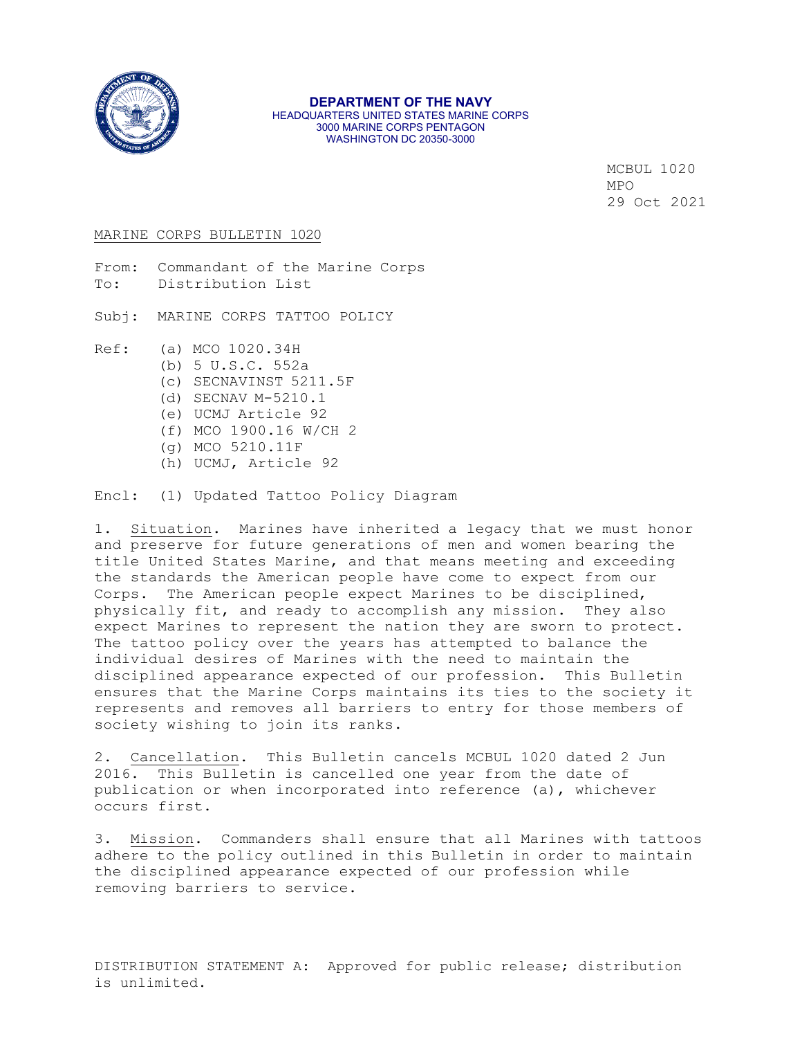

#### **DEPARTMENT OF THE NAVY** HEADQUARTERS UNITED STATES MARINE CORPS 3000 MARINE CORPS PENTAGON WASHINGTON DC 20350-3000

MCBUL 1020  $MPO$ 29 Oct 2021

#### MARINE CORPS BULLETIN 1020

From: Commandant of the Marine Corps<br>To: Distribution List Distribution List

Subj: MARINE CORPS TATTOO POLICY

Ref: (a) MCO 1020.34H

- (b) 5 U.S.C. 552a
- (c) SECNAVINST 5211.5F
- (d) SECNAV M-5210.1
- (e) UCMJ Article 92
- (f) MCO 1900.16 W/CH 2
- (g) MCO 5210.11F
- (h) UCMJ, Article 92

Encl: (1) Updated Tattoo Policy Diagram

1. Situation. Marines have inherited a legacy that we must honor and preserve for future generations of men and women bearing the title United States Marine, and that means meeting and exceeding the standards the American people have come to expect from our Corps. The American people expect Marines to be disciplined, physically fit, and ready to accomplish any mission. They also expect Marines to represent the nation they are sworn to protect. The tattoo policy over the years has attempted to balance the individual desires of Marines with the need to maintain the disciplined appearance expected of our profession. This Bulletin ensures that the Marine Corps maintains its ties to the society it represents and removes all barriers to entry for those members of society wishing to join its ranks.

2. Cancellation. This Bulletin cancels MCBUL 1020 dated 2 Jun 2016. This Bulletin is cancelled one year from the date of publication or when incorporated into reference (a), whichever occurs first.

3. Mission. Commanders shall ensure that all Marines with tattoos adhere to the policy outlined in this Bulletin in order to maintain the disciplined appearance expected of our profession while removing barriers to service.

DISTRIBUTION STATEMENT A: Approved for public release; distribution is unlimited.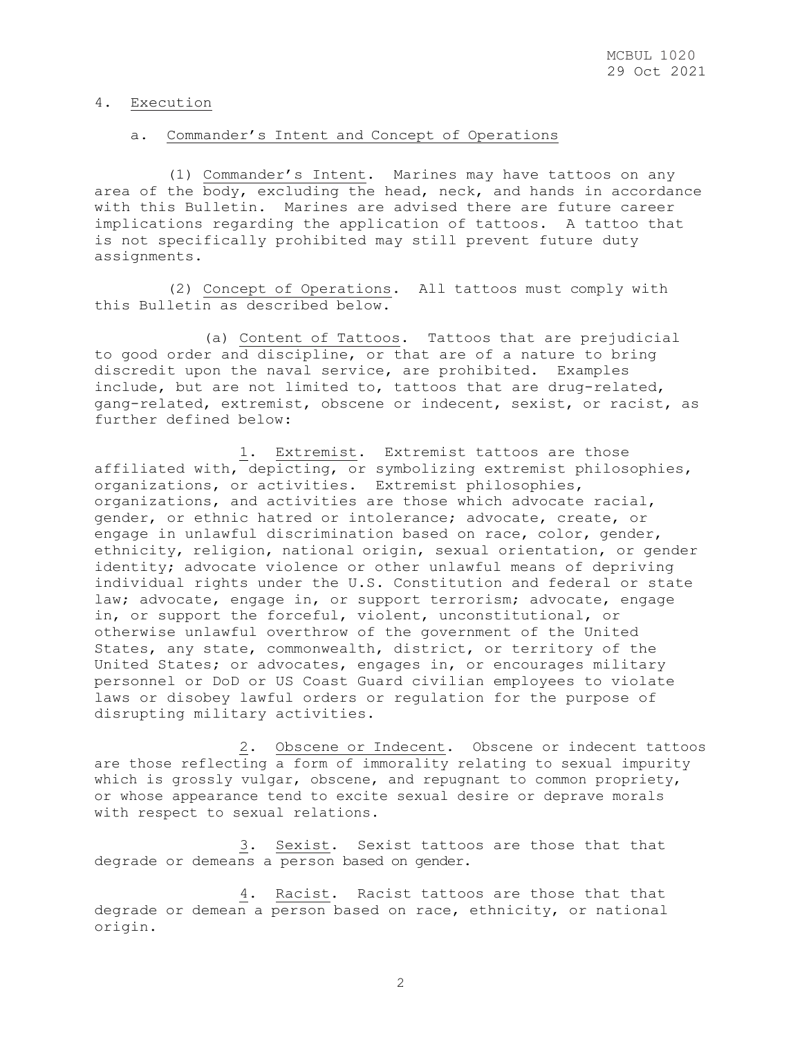### 4. Execution

# a. Commander's Intent and Concept of Operations

 (1) Commander's Intent. Marines may have tattoos on any area of the body, excluding the head, neck, and hands in accordance with this Bulletin. Marines are advised there are future career implications regarding the application of tattoos. A tattoo that is not specifically prohibited may still prevent future duty assignments.

 (2) Concept of Operations. All tattoos must comply with this Bulletin as described below.

 (a) Content of Tattoos. Tattoos that are prejudicial to good order and discipline, or that are of a nature to bring discredit upon the naval service, are prohibited. Examples include, but are not limited to, tattoos that are drug-related, gang-related, extremist, obscene or indecent, sexist, or racist, as further defined below:

 1. Extremist. Extremist tattoos are those affiliated with, depicting, or symbolizing extremist philosophies, organizations, or activities. Extremist philosophies, organizations, and activities are those which advocate racial, gender, or ethnic hatred or intolerance; advocate, create, or engage in unlawful discrimination based on race, color, gender, ethnicity, religion, national origin, sexual orientation, or gender identity; advocate violence or other unlawful means of depriving individual rights under the U.S. Constitution and federal or state law; advocate, engage in, or support terrorism; advocate, engage in, or support the forceful, violent, unconstitutional, or otherwise unlawful overthrow of the government of the United States, any state, commonwealth, district, or territory of the United States; or advocates, engages in, or encourages military personnel or DoD or US Coast Guard civilian employees to violate laws or disobey lawful orders or regulation for the purpose of disrupting military activities.

 2. Obscene or Indecent. Obscene or indecent tattoos are those reflecting a form of immorality relating to sexual impurity which is grossly vulgar, obscene, and repugnant to common propriety, or whose appearance tend to excite sexual desire or deprave morals with respect to sexual relations.

 3. Sexist. Sexist tattoos are those that that degrade or demeans a person based on gender.

 4. Racist. Racist tattoos are those that that degrade or demean a person based on race, ethnicity, or national origin.

2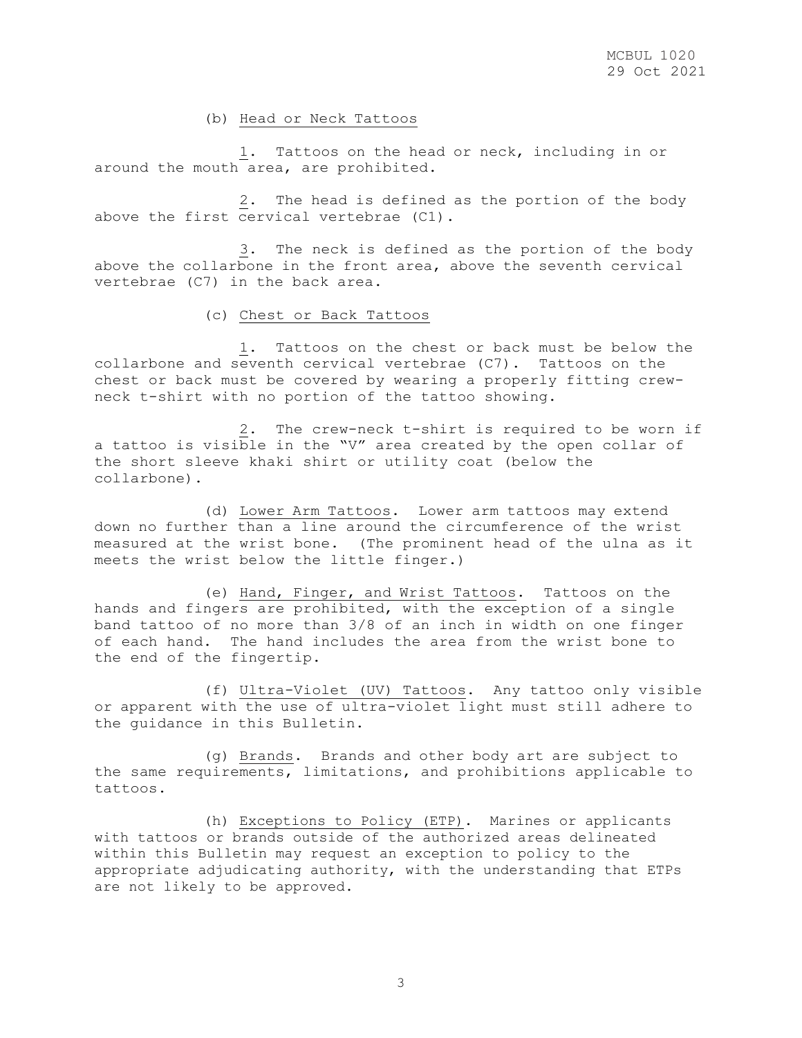(b) Head or Neck Tattoos

 1. Tattoos on the head or neck, including in or around the mouth area, are prohibited.

 2. The head is defined as the portion of the body above the first cervical vertebrae (C1).

 3. The neck is defined as the portion of the body above the collarbone in the front area, above the seventh cervical vertebrae (C7) in the back area.

#### (c) Chest or Back Tattoos

 1. Tattoos on the chest or back must be below the collarbone and seventh cervical vertebrae (C7). Tattoos on the chest or back must be covered by wearing a properly fitting crewneck t-shirt with no portion of the tattoo showing.

 2. The crew-neck t-shirt is required to be worn if a tattoo is visible in the "V" area created by the open collar of the short sleeve khaki shirt or utility coat (below the collarbone).

 (d) Lower Arm Tattoos. Lower arm tattoos may extend down no further than a line around the circumference of the wrist measured at the wrist bone. (The prominent head of the ulna as it meets the wrist below the little finger.)

 (e) Hand, Finger, and Wrist Tattoos. Tattoos on the hands and fingers are prohibited, with the exception of a single band tattoo of no more than 3/8 of an inch in width on one finger of each hand. The hand includes the area from the wrist bone to the end of the fingertip.

 (f) Ultra-Violet (UV) Tattoos. Any tattoo only visible or apparent with the use of ultra-violet light must still adhere to the guidance in this Bulletin.

 (g) Brands. Brands and other body art are subject to the same requirements, limitations, and prohibitions applicable to tattoos.

 (h) Exceptions to Policy (ETP). Marines or applicants with tattoos or brands outside of the authorized areas delineated within this Bulletin may request an exception to policy to the appropriate adjudicating authority, with the understanding that ETPs are not likely to be approved.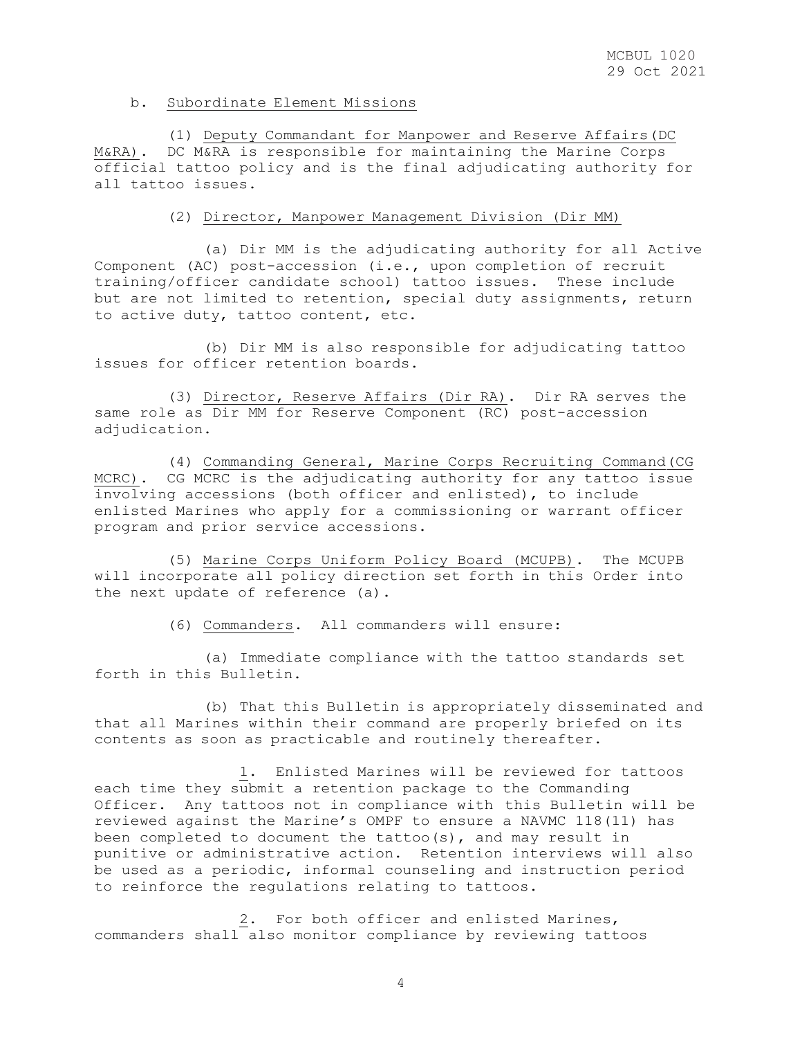#### b. Subordinate Element Missions

 (1) Deputy Commandant for Manpower and Reserve Affairs(DC M&RA). DC M&RA is responsible for maintaining the Marine Corps official tattoo policy and is the final adjudicating authority for all tattoo issues.

# (2) Director, Manpower Management Division (Dir MM)

 (a) Dir MM is the adjudicating authority for all Active Component (AC) post-accession (i.e., upon completion of recruit training/officer candidate school) tattoo issues. These include but are not limited to retention, special duty assignments, return to active duty, tattoo content, etc.

 (b) Dir MM is also responsible for adjudicating tattoo issues for officer retention boards.

 (3) Director, Reserve Affairs (Dir RA). Dir RA serves the same role as Dir MM for Reserve Component (RC) post-accession adjudication.

 (4) Commanding General, Marine Corps Recruiting Command(CG MCRC). CG MCRC is the adjudicating authority for any tattoo issue involving accessions (both officer and enlisted), to include enlisted Marines who apply for a commissioning or warrant officer program and prior service accessions.

 (5) Marine Corps Uniform Policy Board (MCUPB). The MCUPB will incorporate all policy direction set forth in this Order into the next update of reference (a).

(6) Commanders. All commanders will ensure:

 (a) Immediate compliance with the tattoo standards set forth in this Bulletin.

 (b) That this Bulletin is appropriately disseminated and that all Marines within their command are properly briefed on its contents as soon as practicable and routinely thereafter.

 1. Enlisted Marines will be reviewed for tattoos each time they submit a retention package to the Commanding Officer. Any tattoos not in compliance with this Bulletin will be reviewed against the Marine's OMPF to ensure a NAVMC 118(11) has been completed to document the tattoo(s), and may result in punitive or administrative action. Retention interviews will also be used as a periodic, informal counseling and instruction period to reinforce the regulations relating to tattoos.

 2. For both officer and enlisted Marines, commanders shall also monitor compliance by reviewing tattoos

4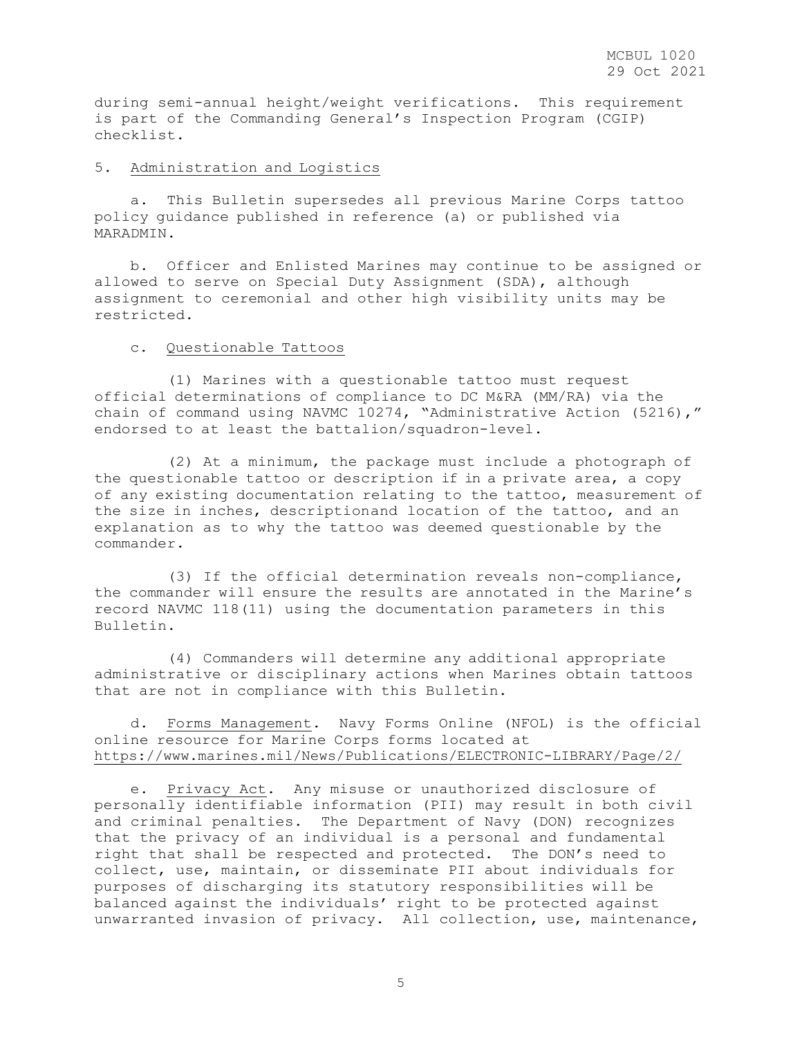during semi-annual height/weight verifications. This requirement is part of the Commanding General's Inspection Program (CGIP) checklist.

## 5. Administration and Logistics

 a. This Bulletin supersedes all previous Marine Corps tattoo policy guidance published in reference (a) or published via MARADMIN.

 b. Officer and Enlisted Marines may continue to be assigned or allowed to serve on Special Duty Assignment (SDA), although assignment to ceremonial and other high visibility units may be restricted.

# c. Questionable Tattoos

 (1) Marines with a questionable tattoo must request official determinations of compliance to DC M&RA (MM/RA) via the chain of command using NAVMC 10274, "Administrative Action (5216)," endorsed to at least the battalion/squadron-level.

 (2) At a minimum, the package must include a photograph of the questionable tattoo or description if in a private area, a copy of any existing documentation relating to the tattoo, measurement of the size in inches, descriptionand location of the tattoo, and an explanation as to why the tattoo was deemed questionable by the commander.

 (3) If the official determination reveals non-compliance, the commander will ensure the results are annotated in the Marine's record NAVMC 118(11) using the documentation parameters in this Bulletin.

 (4) Commanders will determine any additional appropriate administrative or disciplinary actions when Marines obtain tattoos that are not in compliance with this Bulletin.

 d. Forms Management. Navy Forms Online (NFOL) is the official online resource for Marine Corps forms located at <https://www.marines.mil/News/Publications/ELECTRONIC-LIBRARY/Page/2/>

 e. Privacy Act. Any misuse or unauthorized disclosure of personally identifiable information (PII) may result in both civil and criminal penalties. The Department of Navy (DON) recognizes that the privacy of an individual is a personal and fundamental right that shall be respected and protected. The DON's need to collect, use, maintain, or disseminate PII about individuals for purposes of discharging its statutory responsibilities will be balanced against the individuals' right to be protected against unwarranted invasion of privacy. All collection, use, maintenance,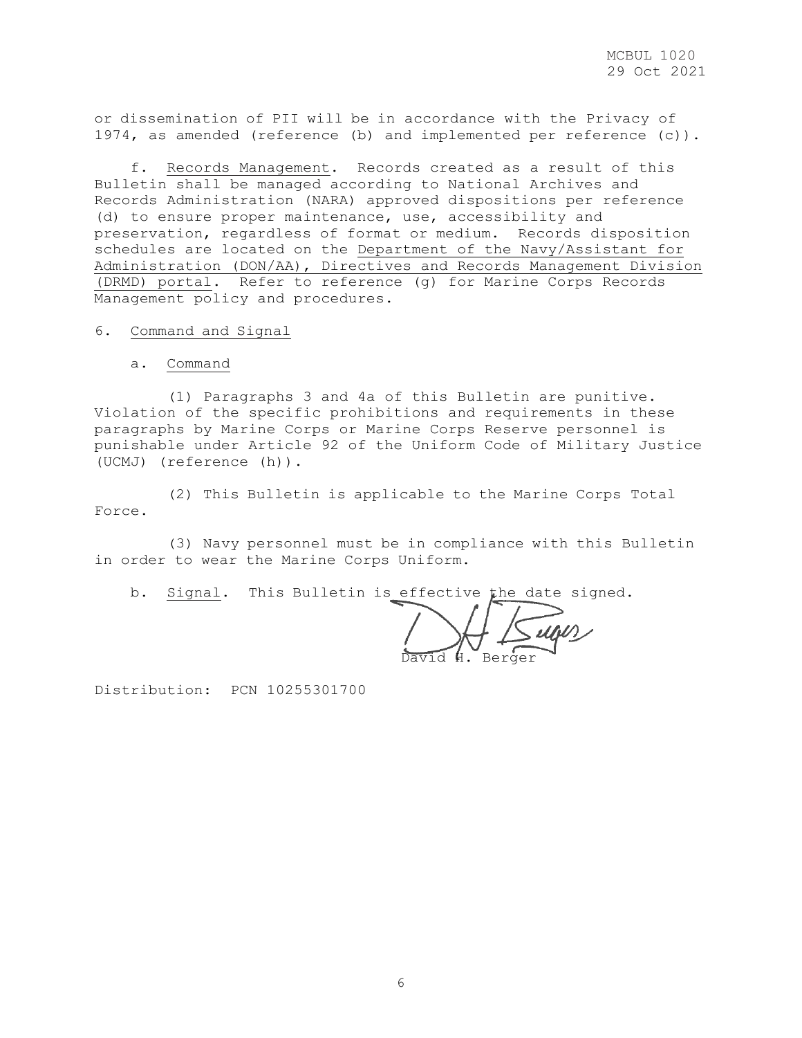or dissemination of PII will be in accordance with the Privacy of 1974, as amended (reference (b) and implemented per reference (c)).

 f. Records Management. Records created as a result of this Bulletin shall be managed according to National Archives and Records Administration (NARA) approved dispositions per reference (d) to ensure proper maintenance, use, accessibility and preservation, regardless of format or medium. Records disposition schedules are located on the [Department of the Navy/Assistant for](https://portal.secnav.navy.mil/orgs/DUSNM/DONAA/DRM/Records-and-Information-Management/Approved%20Record%20Schedules/Forms/AllItems.aspx)  [Administration \(DON/AA\), Directives and Records Management Division](https://portal.secnav.navy.mil/orgs/DUSNM/DONAA/DRM/Records-and-Information-Management/Approved%20Record%20Schedules/Forms/AllItems.aspx)  [\(DRMD\) portal.](https://portal.secnav.navy.mil/orgs/DUSNM/DONAA/DRM/Records-and-Information-Management/Approved%20Record%20Schedules/Forms/AllItems.aspx) Refer to reference (g) for Marine Corps Records Management policy and procedures.

6. Command and Signal

a. Command

 (1) Paragraphs 3 and 4a of this Bulletin are punitive. Violation of the specific prohibitions and requirements in these paragraphs by Marine Corps or Marine Corps Reserve personnel is punishable under Article 92 of the Uniform Code of Military Justice (UCMJ) (reference (h)).

 (2) This Bulletin is applicable to the Marine Corps Total Force.

 (3) Navy personnel must be in compliance with this Bulletin in order to wear the Marine Corps Uniform.

b. Signal. This Bulletin is effective the date signed.

David H. Berger

Distribution: PCN 10255301700